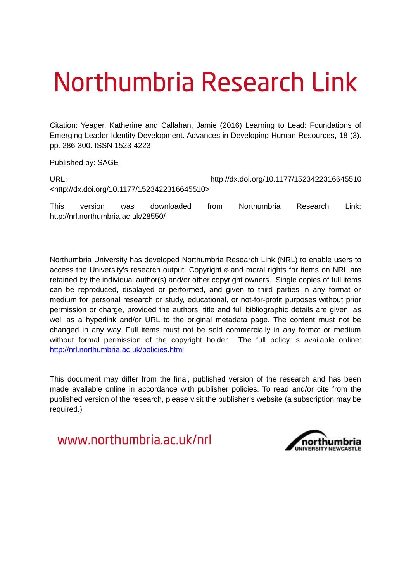# Northumbria Research Link

Citation: Yeager, Katherine and Callahan, Jamie (2016) Learning to Lead: Foundations of Emerging Leader Identity Development. Advances in Developing Human Resources, 18 (3). pp. 286-300. ISSN 1523-4223

Published by: SAGE

| URL:                                                         | http://dx.doi.org/10.1177/1523422316645510 |
|--------------------------------------------------------------|--------------------------------------------|
| <http: 10.1177="" 1523422316645510="" dx.doi.org=""></http:> |                                            |

This version was downloaded from Northumbria Research Link: http://nrl.northumbria.ac.uk/28550/

Northumbria University has developed Northumbria Research Link (NRL) to enable users to access the University's research output. Copyright  $\circ$  and moral rights for items on NRL are retained by the individual author(s) and/or other copyright owners. Single copies of full items can be reproduced, displayed or performed, and given to third parties in any format or medium for personal research or study, educational, or not-for-profit purposes without prior permission or charge, provided the authors, title and full bibliographic details are given, as well as a hyperlink and/or URL to the original metadata page. The content must not be changed in any way. Full items must not be sold commercially in any format or medium without formal permission of the copyright holder. The full policy is available online: <http://nrl.northumbria.ac.uk/policies.html>

This document may differ from the final, published version of the research and has been made available online in accordance with publisher policies. To read and/or cite from the published version of the research, please visit the publisher's website (a subscription may be required.)

www.northumbria.ac.uk/nrl

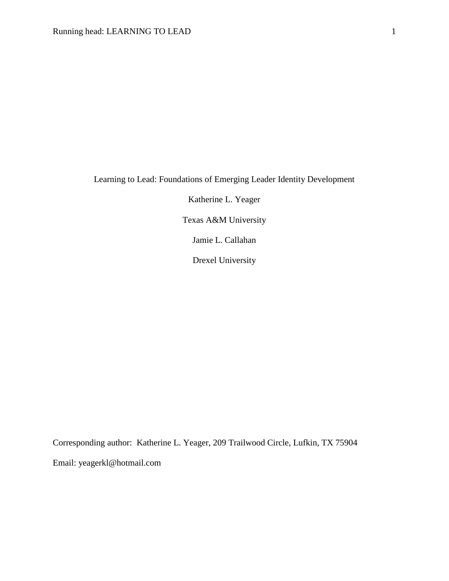Learning to Lead: Foundations of Emerging Leader Identity Development

Katherine L. Yeager

Texas A&M University

Jamie L. Callahan

Drexel University

Corresponding author: Katherine L. Yeager, 209 Trailwood Circle, Lufkin, TX 75904 Email: yeagerkl@hotmail.com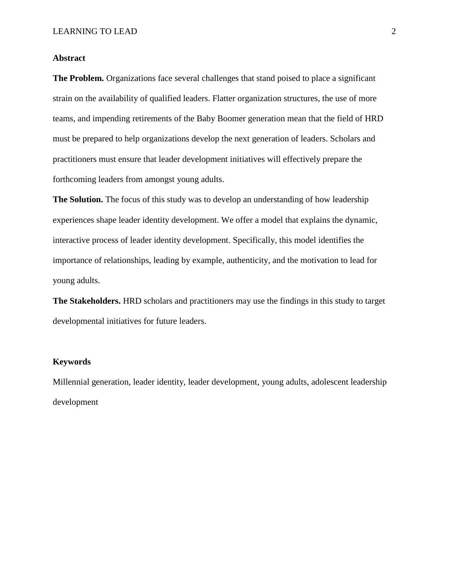# **Abstract**

**The Problem.** Organizations face several challenges that stand poised to place a significant strain on the availability of qualified leaders. Flatter organization structures, the use of more teams, and impending retirements of the Baby Boomer generation mean that the field of HRD must be prepared to help organizations develop the next generation of leaders. Scholars and practitioners must ensure that leader development initiatives will effectively prepare the forthcoming leaders from amongst young adults.

**The Solution.** The focus of this study was to develop an understanding of how leadership experiences shape leader identity development. We offer a model that explains the dynamic, interactive process of leader identity development. Specifically, this model identifies the importance of relationships, leading by example, authenticity, and the motivation to lead for young adults.

**The Stakeholders.** HRD scholars and practitioners may use the findings in this study to target developmental initiatives for future leaders.

#### **Keywords**

Millennial generation, leader identity, leader development, young adults, adolescent leadership development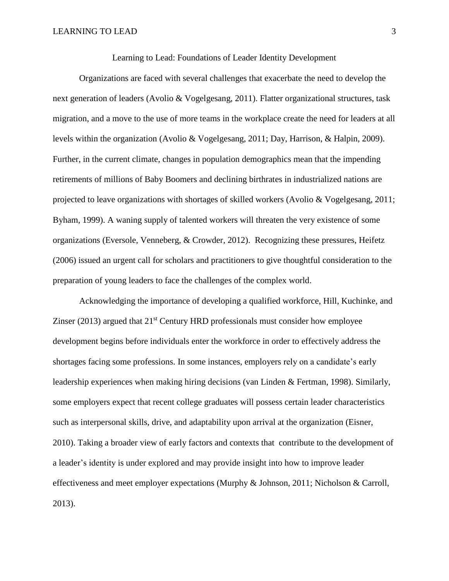Learning to Lead: Foundations of Leader Identity Development

Organizations are faced with several challenges that exacerbate the need to develop the next generation of leaders (Avolio & Vogelgesang, 2011). Flatter organizational structures, task migration, and a move to the use of more teams in the workplace create the need for leaders at all levels within the organization (Avolio & Vogelgesang, 2011; Day, Harrison, & Halpin, 2009). Further, in the current climate, changes in population demographics mean that the impending retirements of millions of Baby Boomers and declining birthrates in industrialized nations are projected to leave organizations with shortages of skilled workers (Avolio & Vogelgesang, 2011; Byham, 1999). A waning supply of talented workers will threaten the very existence of some organizations (Eversole, Venneberg, & Crowder, 2012). Recognizing these pressures, Heifetz (2006) issued an urgent call for scholars and practitioners to give thoughtful consideration to the preparation of young leaders to face the challenges of the complex world.

Acknowledging the importance of developing a qualified workforce, Hill, Kuchinke, and Zinser (2013) argued that  $21<sup>st</sup>$  Century HRD professionals must consider how employee development begins before individuals enter the workforce in order to effectively address the shortages facing some professions. In some instances, employers rely on a candidate's early leadership experiences when making hiring decisions (van Linden & Fertman, 1998). Similarly, some employers expect that recent college graduates will possess certain leader characteristics such as interpersonal skills, drive, and adaptability upon arrival at the organization (Eisner, 2010). Taking a broader view of early factors and contexts that contribute to the development of a leader's identity is under explored and may provide insight into how to improve leader effectiveness and meet employer expectations (Murphy & Johnson, 2011; Nicholson & Carroll, 2013).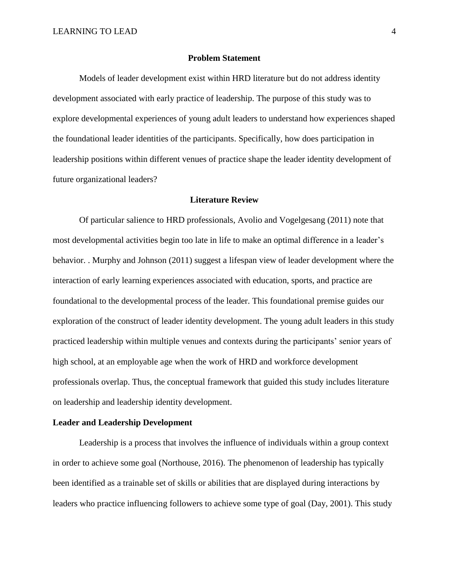#### **Problem Statement**

Models of leader development exist within HRD literature but do not address identity development associated with early practice of leadership. The purpose of this study was to explore developmental experiences of young adult leaders to understand how experiences shaped the foundational leader identities of the participants. Specifically, how does participation in leadership positions within different venues of practice shape the leader identity development of future organizational leaders?

#### **Literature Review**

Of particular salience to HRD professionals, Avolio and Vogelgesang (2011) note that most developmental activities begin too late in life to make an optimal difference in a leader's behavior. . Murphy and Johnson (2011) suggest a lifespan view of leader development where the interaction of early learning experiences associated with education, sports, and practice are foundational to the developmental process of the leader. This foundational premise guides our exploration of the construct of leader identity development. The young adult leaders in this study practiced leadership within multiple venues and contexts during the participants' senior years of high school, at an employable age when the work of HRD and workforce development professionals overlap. Thus, the conceptual framework that guided this study includes literature on leadership and leadership identity development.

#### **Leader and Leadership Development**

Leadership is a process that involves the influence of individuals within a group context in order to achieve some goal (Northouse, 2016). The phenomenon of leadership has typically been identified as a trainable set of skills or abilities that are displayed during interactions by leaders who practice influencing followers to achieve some type of goal (Day, 2001). This study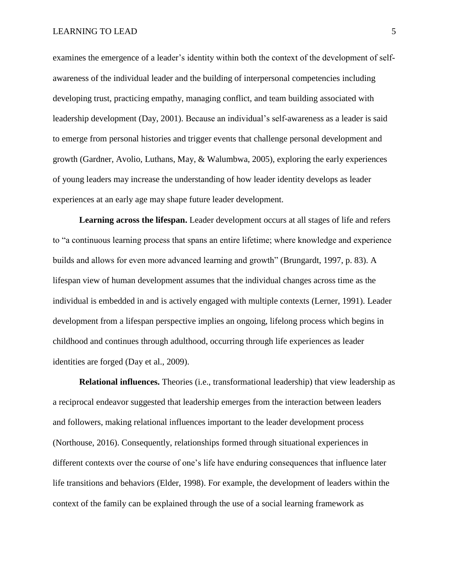examines the emergence of a leader's identity within both the context of the development of selfawareness of the individual leader and the building of interpersonal competencies including developing trust, practicing empathy, managing conflict, and team building associated with leadership development (Day, 2001). Because an individual's self-awareness as a leader is said to emerge from personal histories and trigger events that challenge personal development and growth (Gardner, Avolio, Luthans, May, & Walumbwa, 2005), exploring the early experiences of young leaders may increase the understanding of how leader identity develops as leader experiences at an early age may shape future leader development.

**Learning across the lifespan.** Leader development occurs at all stages of life and refers to "a continuous learning process that spans an entire lifetime; where knowledge and experience builds and allows for even more advanced learning and growth" (Brungardt, 1997, p. 83). A lifespan view of human development assumes that the individual changes across time as the individual is embedded in and is actively engaged with multiple contexts (Lerner, 1991). Leader development from a lifespan perspective implies an ongoing, lifelong process which begins in childhood and continues through adulthood, occurring through life experiences as leader identities are forged (Day et al., 2009).

**Relational influences.** Theories (i.e., transformational leadership) that view leadership as a reciprocal endeavor suggested that leadership emerges from the interaction between leaders and followers, making relational influences important to the leader development process (Northouse, 2016). Consequently, relationships formed through situational experiences in different contexts over the course of one's life have enduring consequences that influence later life transitions and behaviors (Elder, 1998). For example, the development of leaders within the context of the family can be explained through the use of a social learning framework as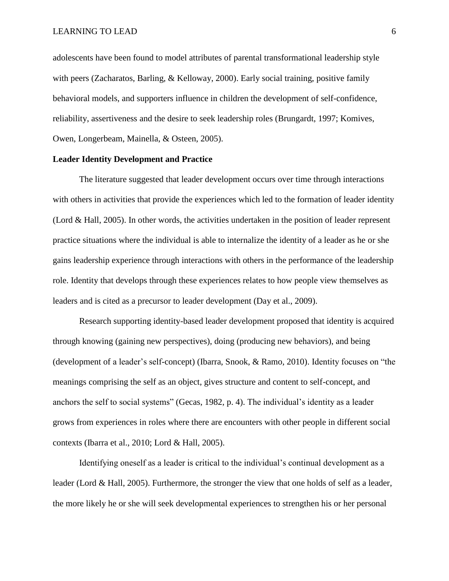adolescents have been found to model attributes of parental transformational leadership style with peers (Zacharatos, Barling, & Kelloway, 2000). Early social training, positive family behavioral models, and supporters influence in children the development of self-confidence, reliability, assertiveness and the desire to seek leadership roles (Brungardt, 1997; Komives, Owen, Longerbeam, Mainella, & Osteen, 2005).

# **Leader Identity Development and Practice**

The literature suggested that leader development occurs over time through interactions with others in activities that provide the experiences which led to the formation of leader identity (Lord & Hall, 2005). In other words, the activities undertaken in the position of leader represent practice situations where the individual is able to internalize the identity of a leader as he or she gains leadership experience through interactions with others in the performance of the leadership role. Identity that develops through these experiences relates to how people view themselves as leaders and is cited as a precursor to leader development (Day et al., 2009).

Research supporting identity-based leader development proposed that identity is acquired through knowing (gaining new perspectives), doing (producing new behaviors), and being (development of a leader's self-concept) (Ibarra, Snook, & Ramo, 2010). Identity focuses on "the meanings comprising the self as an object, gives structure and content to self-concept, and anchors the self to social systems" (Gecas, 1982, p. 4). The individual's identity as a leader grows from experiences in roles where there are encounters with other people in different social contexts (Ibarra et al., 2010; Lord & Hall, 2005).

Identifying oneself as a leader is critical to the individual's continual development as a leader (Lord & Hall, 2005). Furthermore, the stronger the view that one holds of self as a leader, the more likely he or she will seek developmental experiences to strengthen his or her personal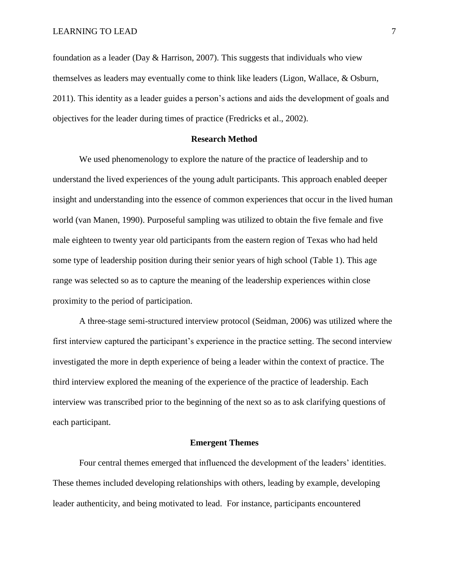foundation as a leader (Day & Harrison, 2007). This suggests that individuals who view themselves as leaders may eventually come to think like leaders (Ligon, Wallace, & Osburn, 2011). This identity as a leader guides a person's actions and aids the development of goals and objectives for the leader during times of practice (Fredricks et al., 2002).

## **Research Method**

We used phenomenology to explore the nature of the practice of leadership and to understand the lived experiences of the young adult participants. This approach enabled deeper insight and understanding into the essence of common experiences that occur in the lived human world (van Manen, 1990). Purposeful sampling was utilized to obtain the five female and five male eighteen to twenty year old participants from the eastern region of Texas who had held some type of leadership position during their senior years of high school (Table 1). This age range was selected so as to capture the meaning of the leadership experiences within close proximity to the period of participation.

A three-stage semi-structured interview protocol (Seidman, 2006) was utilized where the first interview captured the participant's experience in the practice setting. The second interview investigated the more in depth experience of being a leader within the context of practice. The third interview explored the meaning of the experience of the practice of leadership. Each interview was transcribed prior to the beginning of the next so as to ask clarifying questions of each participant.

#### **Emergent Themes**

Four central themes emerged that influenced the development of the leaders' identities. These themes included developing relationships with others, leading by example, developing leader authenticity, and being motivated to lead. For instance, participants encountered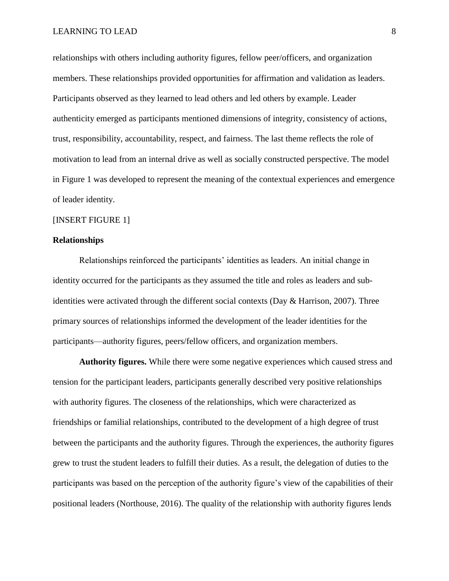relationships with others including authority figures, fellow peer/officers, and organization members. These relationships provided opportunities for affirmation and validation as leaders. Participants observed as they learned to lead others and led others by example. Leader authenticity emerged as participants mentioned dimensions of integrity, consistency of actions, trust, responsibility, accountability, respect, and fairness. The last theme reflects the role of motivation to lead from an internal drive as well as socially constructed perspective. The model in Figure 1 was developed to represent the meaning of the contextual experiences and emergence of leader identity.

## [INSERT FIGURE 1]

#### **Relationships**

Relationships reinforced the participants' identities as leaders. An initial change in identity occurred for the participants as they assumed the title and roles as leaders and subidentities were activated through the different social contexts (Day & Harrison, 2007). Three primary sources of relationships informed the development of the leader identities for the participants—authority figures, peers/fellow officers, and organization members.

**Authority figures.** While there were some negative experiences which caused stress and tension for the participant leaders, participants generally described very positive relationships with authority figures. The closeness of the relationships, which were characterized as friendships or familial relationships, contributed to the development of a high degree of trust between the participants and the authority figures. Through the experiences, the authority figures grew to trust the student leaders to fulfill their duties. As a result, the delegation of duties to the participants was based on the perception of the authority figure's view of the capabilities of their positional leaders (Northouse, 2016). The quality of the relationship with authority figures lends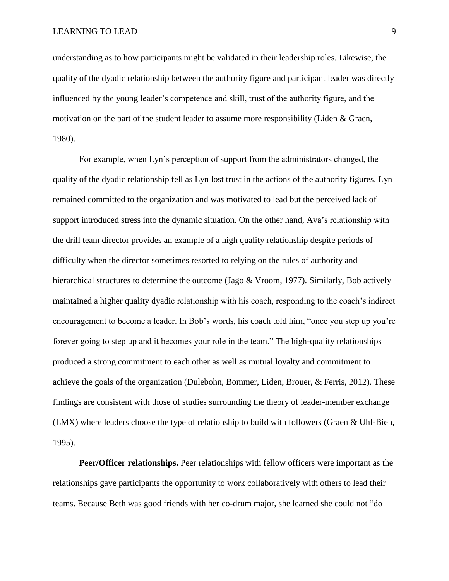understanding as to how participants might be validated in their leadership roles. Likewise, the quality of the dyadic relationship between the authority figure and participant leader was directly influenced by the young leader's competence and skill, trust of the authority figure, and the motivation on the part of the student leader to assume more responsibility (Liden & Graen, 1980).

For example, when Lyn's perception of support from the administrators changed, the quality of the dyadic relationship fell as Lyn lost trust in the actions of the authority figures. Lyn remained committed to the organization and was motivated to lead but the perceived lack of support introduced stress into the dynamic situation. On the other hand, Ava's relationship with the drill team director provides an example of a high quality relationship despite periods of difficulty when the director sometimes resorted to relying on the rules of authority and hierarchical structures to determine the outcome (Jago & Vroom, 1977). Similarly, Bob actively maintained a higher quality dyadic relationship with his coach, responding to the coach's indirect encouragement to become a leader. In Bob's words, his coach told him, "once you step up you're forever going to step up and it becomes your role in the team." The high-quality relationships produced a strong commitment to each other as well as mutual loyalty and commitment to achieve the goals of the organization (Dulebohn, Bommer, Liden, Brouer, & Ferris, 2012). These findings are consistent with those of studies surrounding the theory of leader-member exchange (LMX) where leaders choose the type of relationship to build with followers (Graen & Uhl-Bien, 1995).

**Peer/Officer relationships.** Peer relationships with fellow officers were important as the relationships gave participants the opportunity to work collaboratively with others to lead their teams. Because Beth was good friends with her co-drum major, she learned she could not "do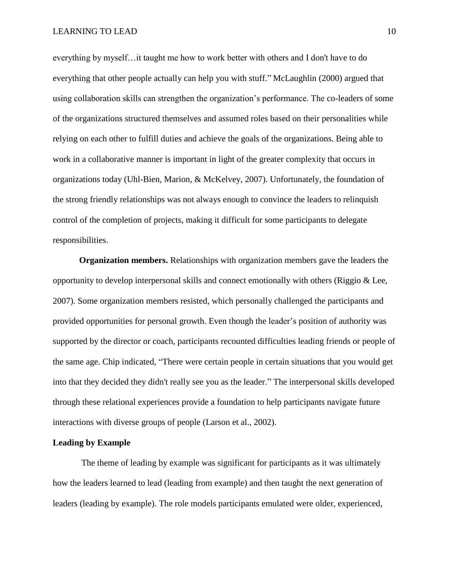everything by myself…it taught me how to work better with others and I don't have to do everything that other people actually can help you with stuff." McLaughlin (2000) argued that using collaboration skills can strengthen the organization's performance. The co-leaders of some of the organizations structured themselves and assumed roles based on their personalities while relying on each other to fulfill duties and achieve the goals of the organizations. Being able to work in a collaborative manner is important in light of the greater complexity that occurs in organizations today (Uhl-Bien, Marion, & McKelvey, 2007). Unfortunately, the foundation of the strong friendly relationships was not always enough to convince the leaders to relinquish control of the completion of projects, making it difficult for some participants to delegate responsibilities.

**Organization members.** Relationships with organization members gave the leaders the opportunity to develop interpersonal skills and connect emotionally with others (Riggio  $\&$  Lee, 2007). Some organization members resisted, which personally challenged the participants and provided opportunities for personal growth. Even though the leader's position of authority was supported by the director or coach, participants recounted difficulties leading friends or people of the same age. Chip indicated, "There were certain people in certain situations that you would get into that they decided they didn't really see you as the leader." The interpersonal skills developed through these relational experiences provide a foundation to help participants navigate future interactions with diverse groups of people (Larson et al., 2002).

#### **Leading by Example**

 The theme of leading by example was significant for participants as it was ultimately how the leaders learned to lead (leading from example) and then taught the next generation of leaders (leading by example). The role models participants emulated were older, experienced,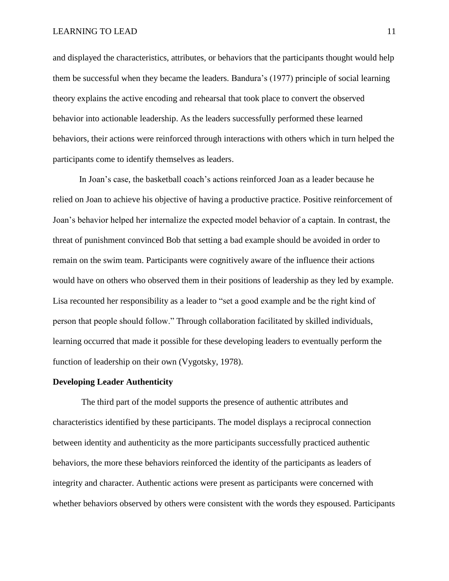and displayed the characteristics, attributes, or behaviors that the participants thought would help them be successful when they became the leaders. Bandura's (1977) principle of social learning theory explains the active encoding and rehearsal that took place to convert the observed behavior into actionable leadership. As the leaders successfully performed these learned behaviors, their actions were reinforced through interactions with others which in turn helped the participants come to identify themselves as leaders.

In Joan's case, the basketball coach's actions reinforced Joan as a leader because he relied on Joan to achieve his objective of having a productive practice. Positive reinforcement of Joan's behavior helped her internalize the expected model behavior of a captain. In contrast, the threat of punishment convinced Bob that setting a bad example should be avoided in order to remain on the swim team. Participants were cognitively aware of the influence their actions would have on others who observed them in their positions of leadership as they led by example. Lisa recounted her responsibility as a leader to "set a good example and be the right kind of person that people should follow." Through collaboration facilitated by skilled individuals, learning occurred that made it possible for these developing leaders to eventually perform the function of leadership on their own (Vygotsky, 1978).

#### **Developing Leader Authenticity**

 The third part of the model supports the presence of authentic attributes and characteristics identified by these participants. The model displays a reciprocal connection between identity and authenticity as the more participants successfully practiced authentic behaviors, the more these behaviors reinforced the identity of the participants as leaders of integrity and character. Authentic actions were present as participants were concerned with whether behaviors observed by others were consistent with the words they espoused. Participants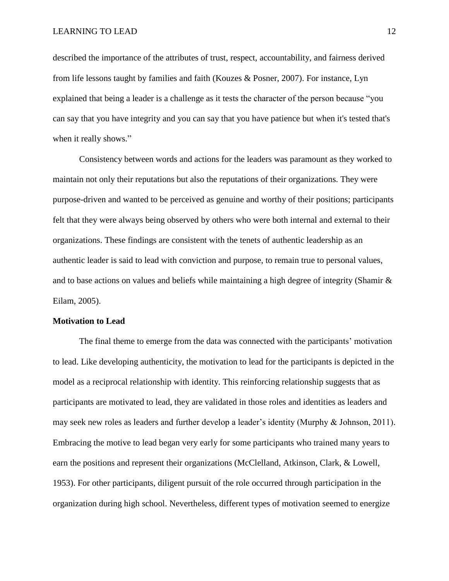described the importance of the attributes of trust, respect, accountability, and fairness derived from life lessons taught by families and faith (Kouzes & Posner, 2007). For instance, Lyn explained that being a leader is a challenge as it tests the character of the person because "you can say that you have integrity and you can say that you have patience but when it's tested that's when it really shows."

Consistency between words and actions for the leaders was paramount as they worked to maintain not only their reputations but also the reputations of their organizations. They were purpose-driven and wanted to be perceived as genuine and worthy of their positions; participants felt that they were always being observed by others who were both internal and external to their organizations. These findings are consistent with the tenets of authentic leadership as an authentic leader is said to lead with conviction and purpose, to remain true to personal values, and to base actions on values and beliefs while maintaining a high degree of integrity (Shamir  $\&$ Eilam, 2005).

#### **Motivation to Lead**

The final theme to emerge from the data was connected with the participants' motivation to lead. Like developing authenticity, the motivation to lead for the participants is depicted in the model as a reciprocal relationship with identity. This reinforcing relationship suggests that as participants are motivated to lead, they are validated in those roles and identities as leaders and may seek new roles as leaders and further develop a leader's identity (Murphy & Johnson, 2011). Embracing the motive to lead began very early for some participants who trained many years to earn the positions and represent their organizations (McClelland, Atkinson, Clark, & Lowell, 1953). For other participants, diligent pursuit of the role occurred through participation in the organization during high school. Nevertheless, different types of motivation seemed to energize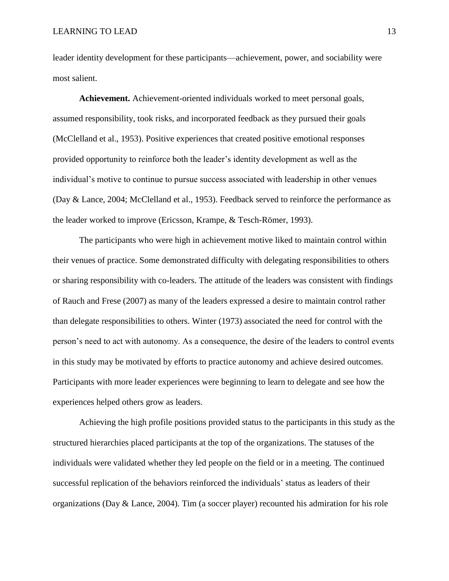leader identity development for these participants—achievement, power, and sociability were most salient.

**Achievement.** Achievement-oriented individuals worked to meet personal goals, assumed responsibility, took risks, and incorporated feedback as they pursued their goals (McClelland et al., 1953). Positive experiences that created positive emotional responses provided opportunity to reinforce both the leader's identity development as well as the individual's motive to continue to pursue success associated with leadership in other venues (Day & Lance, 2004; McClelland et al., 1953). Feedback served to reinforce the performance as the leader worked to improve (Ericsson, Krampe, & Tesch-Römer, 1993).

The participants who were high in achievement motive liked to maintain control within their venues of practice. Some demonstrated difficulty with delegating responsibilities to others or sharing responsibility with co-leaders. The attitude of the leaders was consistent with findings of Rauch and Frese (2007) as many of the leaders expressed a desire to maintain control rather than delegate responsibilities to others. Winter (1973) associated the need for control with the person's need to act with autonomy. As a consequence, the desire of the leaders to control events in this study may be motivated by efforts to practice autonomy and achieve desired outcomes. Participants with more leader experiences were beginning to learn to delegate and see how the experiences helped others grow as leaders.

Achieving the high profile positions provided status to the participants in this study as the structured hierarchies placed participants at the top of the organizations. The statuses of the individuals were validated whether they led people on the field or in a meeting. The continued successful replication of the behaviors reinforced the individuals' status as leaders of their organizations (Day & Lance, 2004). Tim (a soccer player) recounted his admiration for his role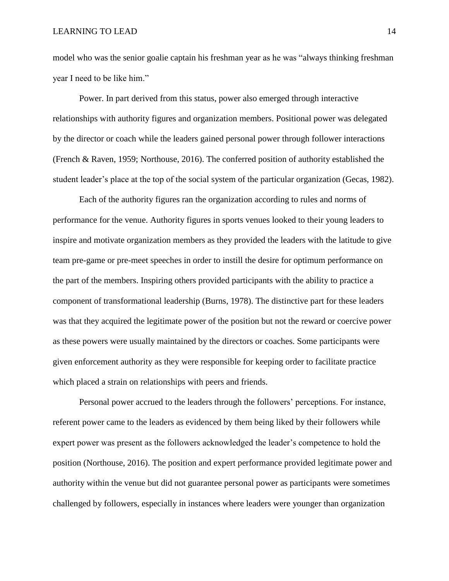model who was the senior goalie captain his freshman year as he was "always thinking freshman year I need to be like him."

Power. In part derived from this status, power also emerged through interactive relationships with authority figures and organization members. Positional power was delegated by the director or coach while the leaders gained personal power through follower interactions (French & Raven, 1959; Northouse, 2016). The conferred position of authority established the student leader's place at the top of the social system of the particular organization (Gecas, 1982).

Each of the authority figures ran the organization according to rules and norms of performance for the venue. Authority figures in sports venues looked to their young leaders to inspire and motivate organization members as they provided the leaders with the latitude to give team pre-game or pre-meet speeches in order to instill the desire for optimum performance on the part of the members. Inspiring others provided participants with the ability to practice a component of transformational leadership (Burns, 1978). The distinctive part for these leaders was that they acquired the legitimate power of the position but not the reward or coercive power as these powers were usually maintained by the directors or coaches. Some participants were given enforcement authority as they were responsible for keeping order to facilitate practice which placed a strain on relationships with peers and friends.

Personal power accrued to the leaders through the followers' perceptions. For instance, referent power came to the leaders as evidenced by them being liked by their followers while expert power was present as the followers acknowledged the leader's competence to hold the position (Northouse, 2016). The position and expert performance provided legitimate power and authority within the venue but did not guarantee personal power as participants were sometimes challenged by followers, especially in instances where leaders were younger than organization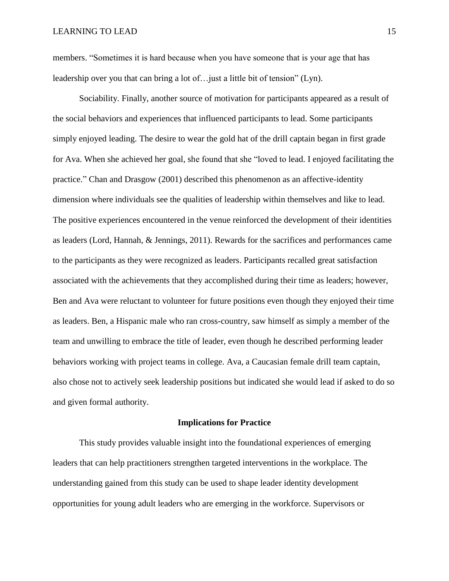members. "Sometimes it is hard because when you have someone that is your age that has leadership over you that can bring a lot of…just a little bit of tension" (Lyn).

Sociability. Finally, another source of motivation for participants appeared as a result of the social behaviors and experiences that influenced participants to lead. Some participants simply enjoyed leading. The desire to wear the gold hat of the drill captain began in first grade for Ava. When she achieved her goal, she found that she "loved to lead. I enjoyed facilitating the practice." Chan and Drasgow (2001) described this phenomenon as an affective-identity dimension where individuals see the qualities of leadership within themselves and like to lead. The positive experiences encountered in the venue reinforced the development of their identities as leaders (Lord, Hannah, & Jennings, 2011). Rewards for the sacrifices and performances came to the participants as they were recognized as leaders. Participants recalled great satisfaction associated with the achievements that they accomplished during their time as leaders; however, Ben and Ava were reluctant to volunteer for future positions even though they enjoyed their time as leaders. Ben, a Hispanic male who ran cross-country, saw himself as simply a member of the team and unwilling to embrace the title of leader, even though he described performing leader behaviors working with project teams in college. Ava, a Caucasian female drill team captain, also chose not to actively seek leadership positions but indicated she would lead if asked to do so and given formal authority.

#### **Implications for Practice**

This study provides valuable insight into the foundational experiences of emerging leaders that can help practitioners strengthen targeted interventions in the workplace. The understanding gained from this study can be used to shape leader identity development opportunities for young adult leaders who are emerging in the workforce. Supervisors or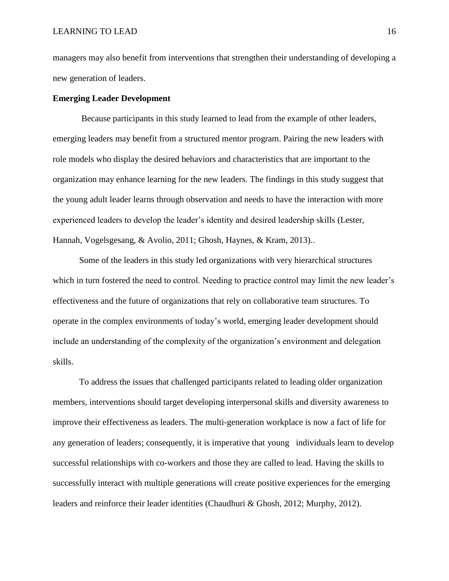managers may also benefit from interventions that strengthen their understanding of developing a new generation of leaders.

#### **Emerging Leader Development**

 Because participants in this study learned to lead from the example of other leaders, emerging leaders may benefit from a structured mentor program. Pairing the new leaders with role models who display the desired behaviors and characteristics that are important to the organization may enhance learning for the new leaders. The findings in this study suggest that the young adult leader learns through observation and needs to have the interaction with more experienced leaders to develop the leader's identity and desired leadership skills (Lester, Hannah, Vogelsgesang, & Avolio, 2011; Ghosh, Haynes, & Kram, 2013)..

Some of the leaders in this study led organizations with very hierarchical structures which in turn fostered the need to control. Needing to practice control may limit the new leader's effectiveness and the future of organizations that rely on collaborative team structures. To operate in the complex environments of today's world, emerging leader development should include an understanding of the complexity of the organization's environment and delegation skills.

To address the issues that challenged participants related to leading older organization members, interventions should target developing interpersonal skills and diversity awareness to improve their effectiveness as leaders. The multi-generation workplace is now a fact of life for any generation of leaders; consequently, it is imperative that young individuals learn to develop successful relationships with co-workers and those they are called to lead. Having the skills to successfully interact with multiple generations will create positive experiences for the emerging leaders and reinforce their leader identities (Chaudhuri & Ghosh, 2012; Murphy, 2012).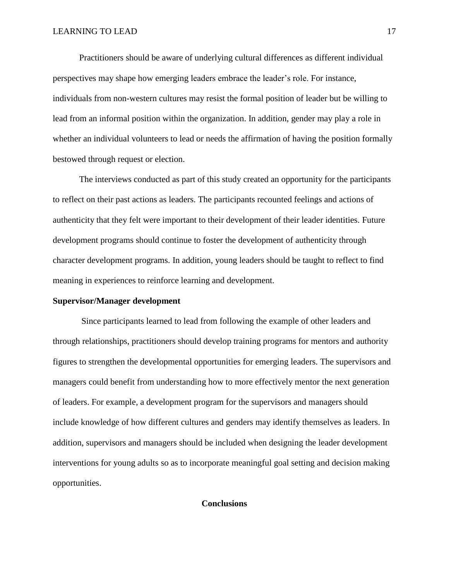Practitioners should be aware of underlying cultural differences as different individual perspectives may shape how emerging leaders embrace the leader's role. For instance, individuals from non-western cultures may resist the formal position of leader but be willing to lead from an informal position within the organization. In addition, gender may play a role in whether an individual volunteers to lead or needs the affirmation of having the position formally bestowed through request or election.

The interviews conducted as part of this study created an opportunity for the participants to reflect on their past actions as leaders. The participants recounted feelings and actions of authenticity that they felt were important to their development of their leader identities. Future development programs should continue to foster the development of authenticity through character development programs. In addition, young leaders should be taught to reflect to find meaning in experiences to reinforce learning and development.

#### **Supervisor/Manager development**

 Since participants learned to lead from following the example of other leaders and through relationships, practitioners should develop training programs for mentors and authority figures to strengthen the developmental opportunities for emerging leaders. The supervisors and managers could benefit from understanding how to more effectively mentor the next generation of leaders. For example, a development program for the supervisors and managers should include knowledge of how different cultures and genders may identify themselves as leaders. In addition, supervisors and managers should be included when designing the leader development interventions for young adults so as to incorporate meaningful goal setting and decision making opportunities.

## **Conclusions**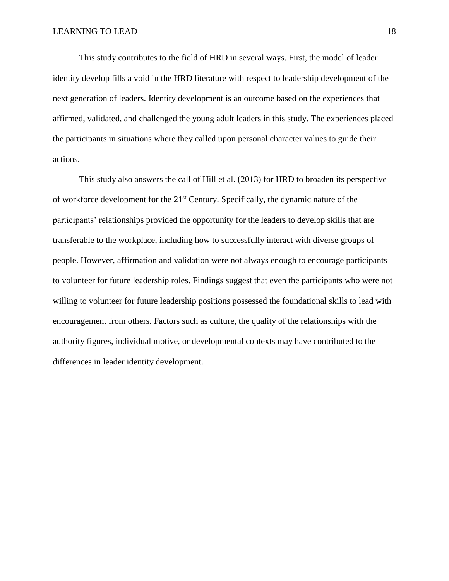This study contributes to the field of HRD in several ways. First, the model of leader identity develop fills a void in the HRD literature with respect to leadership development of the next generation of leaders. Identity development is an outcome based on the experiences that affirmed, validated, and challenged the young adult leaders in this study. The experiences placed the participants in situations where they called upon personal character values to guide their actions.

This study also answers the call of Hill et al. (2013) for HRD to broaden its perspective of workforce development for the 21st Century. Specifically, the dynamic nature of the participants' relationships provided the opportunity for the leaders to develop skills that are transferable to the workplace, including how to successfully interact with diverse groups of people. However, affirmation and validation were not always enough to encourage participants to volunteer for future leadership roles. Findings suggest that even the participants who were not willing to volunteer for future leadership positions possessed the foundational skills to lead with encouragement from others. Factors such as culture, the quality of the relationships with the authority figures, individual motive, or developmental contexts may have contributed to the differences in leader identity development.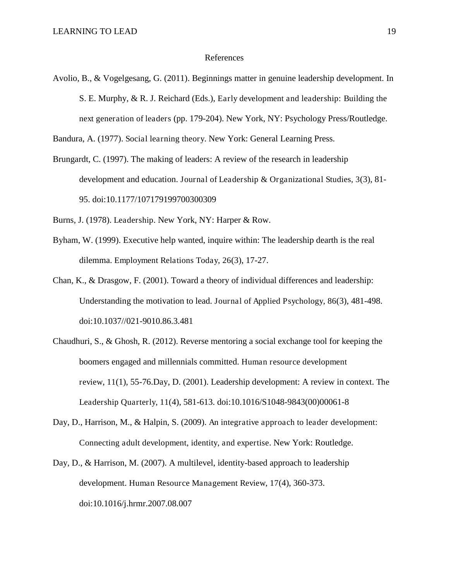#### References

Avolio, B., & Vogelgesang, G. (2011). Beginnings matter in genuine leadership development. In S. E. Murphy, & R. J. Reichard (Eds.), Early development and leadership: Building the next generation of leaders (pp. 179-204). New York, NY: Psychology Press/Routledge.

Bandura, A. (1977). Social learning theory. New York: General Learning Press.

Brungardt, C. (1997). The making of leaders: A review of the research in leadership development and education. Journal of Leadership & Organizational Studies, 3(3), 81- 95. doi:10.1177/107179199700300309

Burns, J. (1978). Leadership. New York, NY: Harper & Row.

- Byham, W. (1999). Executive help wanted, inquire within: The leadership dearth is the real dilemma. Employment Relations Today, 26(3), 17-27.
- Chan, K., & Drasgow, F. (2001). Toward a theory of individual differences and leadership: Understanding the motivation to lead. Journal of Applied Psychology, 86(3), 481-498. doi:10.1037//021-9010.86.3.481
- Chaudhuri, S., & Ghosh, R. (2012). Reverse mentoring a social exchange tool for keeping the boomers engaged and millennials committed. Human resource development review, 11(1), 55-76.Day, D. (2001). Leadership development: A review in context. The Leadership Quarterly, 11(4), 581-613. doi:10.1016/S1048-9843(00)00061-8
- Day, D., Harrison, M., & Halpin, S. (2009). An integrative approach to leader development: Connecting adult development, identity, and expertise. New York: Routledge.
- Day, D., & Harrison, M. (2007). A multilevel, identity-based approach to leadership development. Human Resource Management Review, 17(4), 360-373. doi:10.1016/j.hrmr.2007.08.007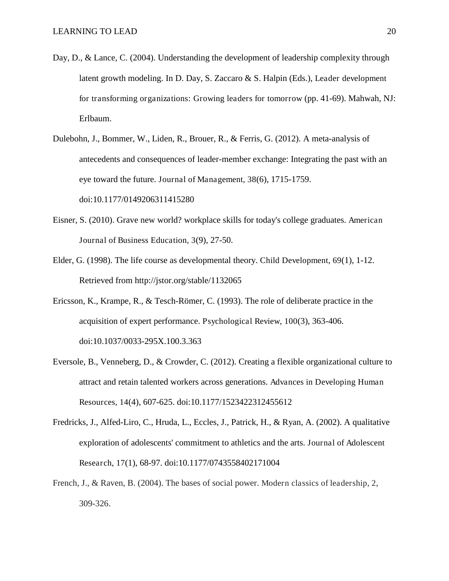- Day, D., & Lance, C. (2004). Understanding the development of leadership complexity through latent growth modeling. In D. Day, S. Zaccaro & S. Halpin (Eds.), Leader development for transforming organizations: Growing leaders for tomorrow (pp. 41-69). Mahwah, NJ: Erlbaum.
- Dulebohn, J., Bommer, W., Liden, R., Brouer, R., & Ferris, G. (2012). A meta-analysis of antecedents and consequences of leader-member exchange: Integrating the past with an eye toward the future. Journal of Management, 38(6), 1715-1759. doi:10.1177/0149206311415280
- Eisner, S. (2010). Grave new world? workplace skills for today's college graduates. American Journal of Business Education, 3(9), 27-50.
- Elder, G. (1998). The life course as developmental theory. Child Development, 69(1), 1-12. Retrieved from http://jstor.org/stable/1132065
- Ericsson, K., Krampe, R., & Tesch-Römer, C. (1993). The role of deliberate practice in the acquisition of expert performance. Psychological Review, 100(3), 363-406. doi:10.1037/0033-295X.100.3.363
- Eversole, B., Venneberg, D., & Crowder, C. (2012). Creating a flexible organizational culture to attract and retain talented workers across generations. Advances in Developing Human Resources, 14(4), 607-625. doi:10.1177/1523422312455612
- Fredricks, J., Alfed-Liro, C., Hruda, L., Eccles, J., Patrick, H., & Ryan, A. (2002). A qualitative exploration of adolescents' commitment to athletics and the arts. Journal of Adolescent Research, 17(1), 68-97. doi:10.1177/0743558402171004
- French, J., & Raven, B. (2004). The bases of social power. Modern classics of leadership, 2, 309-326.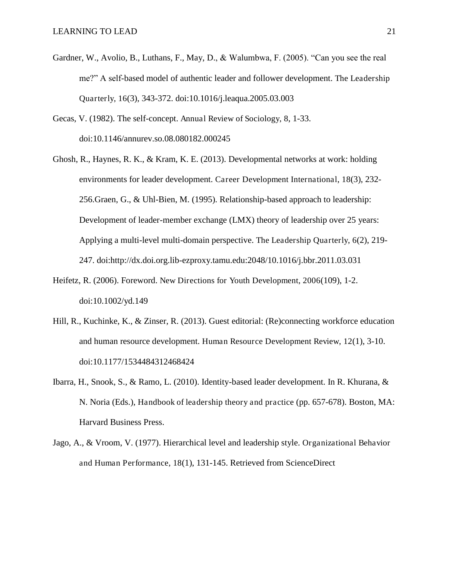- Gardner, W., Avolio, B., Luthans, F., May, D., & Walumbwa, F. (2005). "Can you see the real me?" A self-based model of authentic leader and follower development. The Leadership Quarterly, 16(3), 343-372. doi:10.1016/j.leaqua.2005.03.003
- Gecas, V. (1982). The self-concept. Annual Review of Sociology, 8, 1-33. doi:10.1146/annurev.so.08.080182.000245
- Ghosh, R., Haynes, R. K., & Kram, K. E. (2013). Developmental networks at work: holding environments for leader development. Career Development International, 18(3), 232- 256.Graen, G., & Uhl-Bien, M. (1995). Relationship-based approach to leadership: Development of leader-member exchange (LMX) theory of leadership over 25 years: Applying a multi-level multi-domain perspective. The Leadership Quarterly, 6(2), 219- 247. doi:http://dx.doi.org.lib-ezproxy.tamu.edu:2048/10.1016/j.bbr.2011.03.031
- Heifetz, R. (2006). Foreword. New Directions for Youth Development, 2006(109), 1-2. doi:10.1002/yd.149
- Hill, R., Kuchinke, K., & Zinser, R. (2013). Guest editorial: (Re)connecting workforce education and human resource development. Human Resource Development Review, 12(1), 3-10. doi:10.1177/1534484312468424
- Ibarra, H., Snook, S., & Ramo, L. (2010). Identity-based leader development. In R. Khurana, & N. Noria (Eds.), Handbook of leadership theory and practice (pp. 657-678). Boston, MA: Harvard Business Press.
- Jago, A., & Vroom, V. (1977). Hierarchical level and leadership style. Organizational Behavior and Human Performance, 18(1), 131-145. Retrieved from ScienceDirect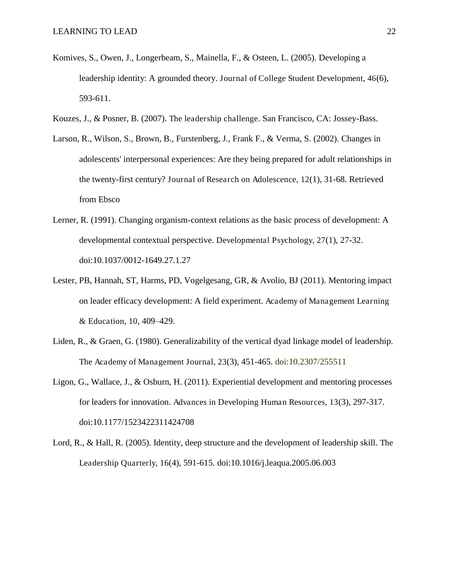- Komives, S., Owen, J., Longerbeam, S., Mainella, F., & Osteen, L. (2005). Developing a leadership identity: A grounded theory. Journal of College Student Development, 46(6), 593-611.
- Kouzes, J., & Posner, B. (2007). The leadership challenge. San Francisco, CA: Jossey-Bass.
- Larson, R., Wilson, S., Brown, B., Furstenberg, J., Frank F., & Verma, S. (2002). Changes in adolescents' interpersonal experiences: Are they being prepared for adult relationships in the twenty-first century? Journal of Research on Adolescence, 12(1), 31-68. Retrieved from Ebsco
- Lerner, R. (1991). Changing organism-context relations as the basic process of development: A developmental contextual perspective. Developmental Psychology, 27(1), 27-32. doi:10.1037/0012-1649.27.1.27
- Lester, PB, Hannah, ST, Harms, PD, Vogelgesang, GR, & Avolio, BJ (2011). Mentoring impact on leader efficacy development: A field experiment. Academy of Management Learning & Education, 10, 409–429.
- Liden, R., & Graen, G. (1980). Generalizability of the vertical dyad linkage model of leadership. The Academy of Management Journal, 23(3), 451-465. doi:10.2307/255511
- Ligon, G., Wallace, J., & Osburn, H. (2011). Experiential development and mentoring processes for leaders for innovation. Advances in Developing Human Resources, 13(3), 297-317. doi:10.1177/1523422311424708
- Lord, R., & Hall, R. (2005). Identity, deep structure and the development of leadership skill. The Leadership Quarterly, 16(4), 591-615. doi:10.1016/j.leaqua.2005.06.003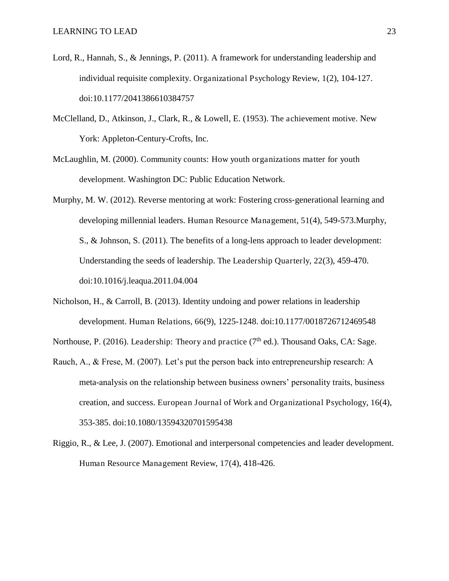- Lord, R., Hannah, S., & Jennings, P. (2011). A framework for understanding leadership and individual requisite complexity. Organizational Psychology Review, 1(2), 104-127. doi:10.1177/2041386610384757
- McClelland, D., Atkinson, J., Clark, R., & Lowell, E. (1953). The achievement motive. New York: Appleton-Century-Crofts, Inc.
- McLaughlin, M. (2000). Community counts: How youth organizations matter for youth development. Washington DC: Public Education Network.
- Murphy, M. W. (2012). Reverse mentoring at work: Fostering cross-generational learning and developing millennial leaders. Human Resource Management, 51(4), 549-573.Murphy, S., & Johnson, S. (2011). The benefits of a long-lens approach to leader development: Understanding the seeds of leadership. The Leadership Quarterly, 22(3), 459-470. doi:10.1016/j.leaqua.2011.04.004
- Nicholson, H., & Carroll, B. (2013). Identity undoing and power relations in leadership development. Human Relations, 66(9), 1225-1248. doi:10.1177/0018726712469548

Northouse, P. (2016). Leadership: Theory and practice ( $7<sup>th</sup>$  ed.). Thousand Oaks, CA: Sage.

- Rauch, A., & Frese, M. (2007). Let's put the person back into entrepreneurship research: A meta-analysis on the relationship between business owners' personality traits, business creation, and success. European Journal of Work and Organizational Psychology, 16(4), 353-385. doi:10.1080/13594320701595438
- Riggio, R., & Lee, J. (2007). Emotional and interpersonal competencies and leader development. Human Resource Management Review, 17(4), 418-426.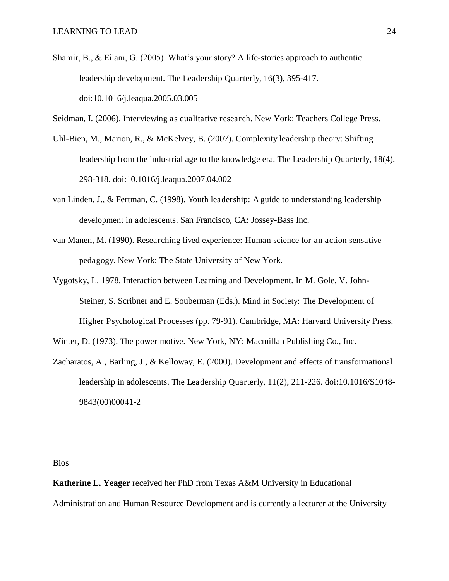Shamir, B., & Eilam, G. (2005). What's your story? A life-stories approach to authentic leadership development. The Leadership Quarterly, 16(3), 395-417. doi:10.1016/j.leaqua.2005.03.005

Seidman, I. (2006). Interviewing as qualitative research. New York: Teachers College Press.

- Uhl-Bien, M., Marion, R., & McKelvey, B. (2007). Complexity leadership theory: Shifting leadership from the industrial age to the knowledge era. The Leadership Quarterly, 18(4), 298-318. doi:10.1016/j.leaqua.2007.04.002
- van Linden, J., & Fertman, C. (1998). Youth leadership: A guide to understanding leadership development in adolescents. San Francisco, CA: Jossey-Bass Inc.
- van Manen, M. (1990). Researching lived experience: Human science for an action sensative pedagogy. New York: The State University of New York.
- Vygotsky, L. 1978. Interaction between Learning and Development. In M. Gole, V. John-Steiner, S. Scribner and E. Souberman (Eds.). Mind in Society: The Development of Higher Psychological Processes (pp. 79-91). Cambridge, MA: Harvard University Press.
- Winter, D. (1973). The power motive. New York, NY: Macmillan Publishing Co., Inc.
- Zacharatos, A., Barling, J., & Kelloway, E. (2000). Development and effects of transformational leadership in adolescents. The Leadership Quarterly, 11(2), 211-226. doi:10.1016/S1048- 9843(00)00041-2

Bios

**Katherine L. Yeager** received her PhD from Texas A&M University in Educational Administration and Human Resource Development and is currently a lecturer at the University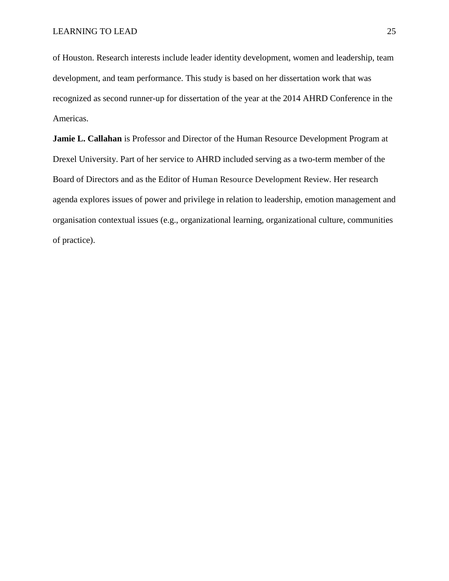of Houston. Research interests include leader identity development, women and leadership, team development, and team performance. This study is based on her dissertation work that was recognized as second runner-up for dissertation of the year at the 2014 AHRD Conference in the Americas.

**Jamie L. Callahan** is Professor and Director of the Human Resource Development Program at Drexel University. Part of her service to AHRD included serving as a two-term member of the Board of Directors and as the Editor of Human Resource Development Review. Her research agenda explores issues of power and privilege in relation to leadership, emotion management and organisation contextual issues (e.g., organizational learning, organizational culture, communities of practice).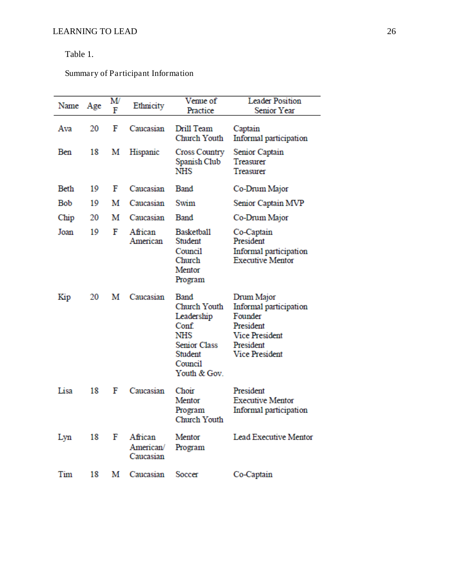# Table 1.

Summary of Participant Information

| Name | Age | M<br>F | Ethnicity                              | Venue of<br>Practice                                                                                                   | <b>Leader Position</b><br>Senior Year                                                                                       |
|------|-----|--------|----------------------------------------|------------------------------------------------------------------------------------------------------------------------|-----------------------------------------------------------------------------------------------------------------------------|
| Ava  | 20  | F      | Caucasian                              | Drill Team<br>Church Youth                                                                                             | Captain<br>Informal participation                                                                                           |
| Ben  | 18  | М      | Hispanic                               | <b>Cross Country</b><br>Spanish Club<br>NHS                                                                            | Senior Captain<br>Treasurer<br>Treasurer                                                                                    |
| Beth | 19  | F      | Caucasian                              | Band                                                                                                                   | Co-Drum Major                                                                                                               |
| Bob  | 19  | м      | Caucasian                              | Swim                                                                                                                   | Senior Captain MVP                                                                                                          |
| Chip | 20  | м      | Caucasian                              | Band                                                                                                                   | Co-Drum Major                                                                                                               |
| Joan | 19  | F      | African<br>American                    | <b>Basketball</b><br>Student<br>Council<br>Church<br>Mentor<br>Program                                                 | Co-Captain<br>President<br>Informal participation<br><b>Executive Mentor</b>                                                |
| Kip  | 20  | м      | Caucasian                              | <b>Band</b><br>Church Youth<br>Leadership<br>Conf.<br>NHS<br><b>Senior Class</b><br>Student<br>Council<br>Youth & Gov. | Drum Major<br>Informal participation<br>Founder<br>President<br><b>Vice President</b><br>President<br><b>Vice President</b> |
| Lisa | 18  | F      | Caucasian                              | Choir<br>Mentor<br>Program<br>Church Youth                                                                             | President<br><b>Executive Mentor</b><br>Informal participation                                                              |
| Lyn  |     |        | 18 F African<br>American/<br>Caucasian | Mentor<br>Program                                                                                                      | Lead Executive Mentor                                                                                                       |
| Tim  | 18  | М      | Caucasian                              | Soccer                                                                                                                 | Co-Captain                                                                                                                  |